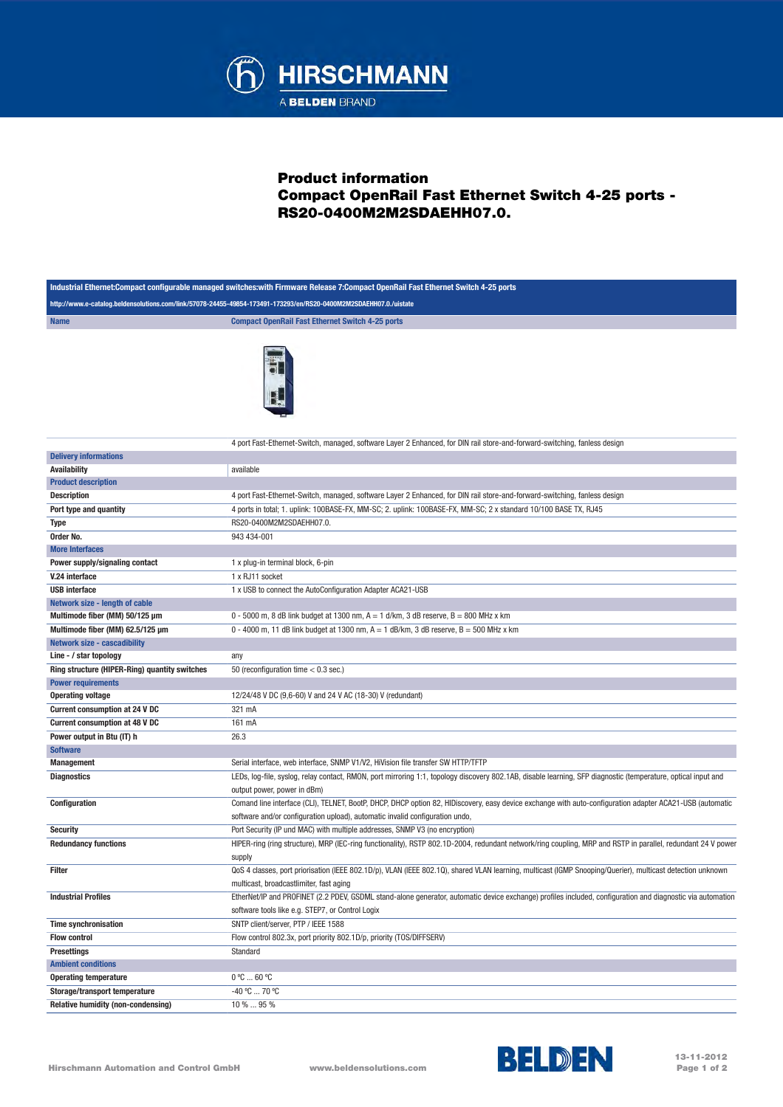

## Product information Compact OpenRail Fast Ethernet Switch 4-25 ports - RS20-0400M2M2SDAEHH07.0.

|                                               | http://www.e-catalog.beldensolutions.com/link/57078-24455-49854-173491-173293/en/RS20-0400M2M2SDAEHH07.0./uistate                                                                            |
|-----------------------------------------------|----------------------------------------------------------------------------------------------------------------------------------------------------------------------------------------------|
| <b>Name</b>                                   | <b>Compact OpenRail Fast Ethernet Switch 4-25 ports</b>                                                                                                                                      |
|                                               |                                                                                                                                                                                              |
|                                               | 4 port Fast-Ethernet-Switch, managed, software Layer 2 Enhanced, for DIN rail store-and-forward-switching, fanless design                                                                    |
| <b>Delivery informations</b>                  |                                                                                                                                                                                              |
| <b>Availability</b>                           | available                                                                                                                                                                                    |
| <b>Product description</b>                    |                                                                                                                                                                                              |
| <b>Description</b>                            | 4 port Fast-Ethernet-Switch, managed, software Layer 2 Enhanced, for DIN rail store-and-forward-switching, fanless design                                                                    |
| Port type and quantity                        | 4 ports in total; 1. uplink: 100BASE-FX, MM-SC; 2. uplink: 100BASE-FX, MM-SC; 2 x standard 10/100 BASE TX, RJ45                                                                              |
| <b>Type</b>                                   | RS20-0400M2M2SDAEHH07.0.                                                                                                                                                                     |
| Order No.                                     | 943 434-001                                                                                                                                                                                  |
| <b>More Interfaces</b>                        |                                                                                                                                                                                              |
| Power supply/signaling contact                | 1 x plug-in terminal block, 6-pin                                                                                                                                                            |
| V.24 interface                                | 1 x RJ11 socket                                                                                                                                                                              |
| <b>USB</b> interface                          | 1 x USB to connect the AutoConfiguration Adapter ACA21-USB                                                                                                                                   |
| Network size - length of cable                |                                                                                                                                                                                              |
| Multimode fiber (MM) 50/125 µm                | 0 - 5000 m, 8 dB link budget at 1300 nm, $A = 1$ d/km, 3 dB reserve, $B = 800$ MHz x km                                                                                                      |
| Multimode fiber (MM) 62.5/125 µm              | 0 - 4000 m, 11 dB link budget at 1300 nm, $A = 1$ dB/km, 3 dB reserve, $B = 500$ MHz x km                                                                                                    |
| <b>Network size - cascadibility</b>           |                                                                                                                                                                                              |
| Line - / star topology                        | any                                                                                                                                                                                          |
| Ring structure (HIPER-Ring) quantity switches | 50 (reconfiguration time $< 0.3$ sec.)                                                                                                                                                       |
| <b>Power requirements</b>                     |                                                                                                                                                                                              |
| <b>Operating voltage</b>                      | 12/24/48 V DC (9,6-60) V and 24 V AC (18-30) V (redundant)                                                                                                                                   |
| <b>Current consumption at 24 V DC</b>         | 321 mA                                                                                                                                                                                       |
| <b>Current consumption at 48 V DC</b>         | 161 mA                                                                                                                                                                                       |
| Power output in Btu (IT) h                    | 26.3                                                                                                                                                                                         |
| <b>Software</b>                               |                                                                                                                                                                                              |
| <b>Management</b>                             | Serial interface, web interface, SNMP V1/V2, HiVision file transfer SW HTTP/TFTP                                                                                                             |
| <b>Diagnostics</b>                            | LEDs, log-file, syslog, relay contact, RMON, port mirroring 1:1, topology discovery 802.1AB, disable learning, SFP diagnostic (temperature, optical input and<br>output power, power in dBm) |
| Configuration                                 | Comand line interface (CLI), TELNET, BootP, DHCP, DHCP option 82, HIDiscovery, easy device exchange with auto-configuration adapter ACA21-USB (automatic                                     |
|                                               | software and/or configuration upload), automatic invalid configuration undo,                                                                                                                 |
| <b>Security</b>                               | Port Security (IP und MAC) with multiple addresses, SNMP V3 (no encryption)                                                                                                                  |
| <b>Redundancy functions</b>                   | HIPER-ring (ring structure), MRP (IEC-ring functionality), RSTP 802.1D-2004, redundant network/ring coupling, MRP and RSTP in parallel, redundant 24 V power                                 |
|                                               | supply                                                                                                                                                                                       |
| Filter                                        | QoS 4 classes, port priorisation (IEEE 802.1D/p), VLAN (IEEE 802.1Q), shared VLAN learning, multicast (IGMP Snooping/Querier), multicast detection unknown                                   |
|                                               | multicast, broadcastlimiter, fast aging                                                                                                                                                      |
| <b>Industrial Profiles</b>                    | EtherNet/IP and PROFINET (2.2 PDEV, GSDML stand-alone generator, automatic device exchange) profiles included, configuration and diagnostic via automation                                   |
|                                               | software tools like e.g. STEP7, or Control Logix                                                                                                                                             |
| <b>Time synchronisation</b>                   | SNTP client/server, PTP / IEEE 1588                                                                                                                                                          |
| <b>Flow control</b>                           | Flow control 802.3x, port priority 802.1D/p, priority (TOS/DIFFSERV)                                                                                                                         |
| Presettings                                   | Standard                                                                                                                                                                                     |
| <b>Ambient conditions</b>                     |                                                                                                                                                                                              |
| <b>Operating temperature</b>                  | 0 °C  60 °C                                                                                                                                                                                  |
| Storage/transport temperature                 | -40 °C  70 °C                                                                                                                                                                                |
| Relative humidity (non-condensing)            | 10 %  95 %                                                                                                                                                                                   |